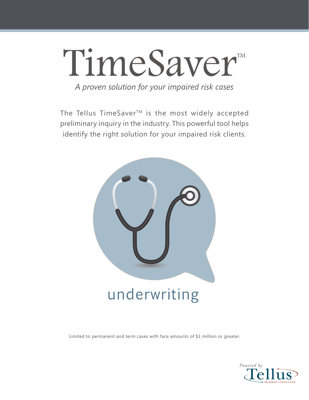# *A proven solution for your impaired risk cases* TimeSaver

The Tellus TimeSaver<sup>™</sup> is the most widely accepted preliminary inquiry in the industry. This powerful tool helps identify the right solution for your impaired risk clients.



Limited to permanent and term cases with face amounts of \$1 million or greater.

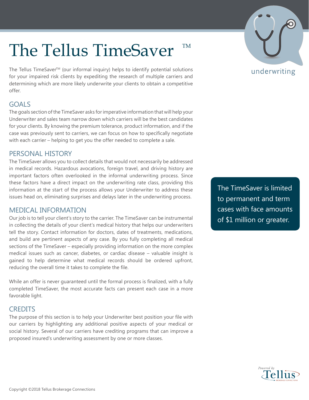### The Tellus TimeSaver TM

The Tellus TimeSaver™ (our informal inquiry) helps to identify potential solutions for your impaired risk clients by expediting the research of multiple carriers and determining which are more likely underwrite your clients to obtain a competitive offer.

### GOALS

The goals section of the TimeSaver asks for imperative information that will help your Underwriter and sales team narrow down which carriers will be the best candidates for your clients. By knowing the premium tolerance, product information, and if the case was previously sent to carriers, we can focus on how to specifically negotiate with each carrier – helping to get you the offer needed to complete a sale.

### PERSONAL HISTORY

The TimeSaver allows you to collect details that would not necessarily be addressed in medical records. Hazardous avocations, foreign travel, and driving history are important factors often overlooked in the informal underwriting process. Since these factors have a direct impact on the underwriting rate class, providing this information at the start of the process allows your Underwriter to address these issues head on, eliminating surprises and delays later in the underwriting process.

#### MEDICAL INFORMATION

Our job is to tell your client's story to the carrier. The TimeSaver can be instrumental in collecting the details of your client's medical history that helps our underwriters tell the story. Contact information for doctors, dates of treatments, medications, and build are pertinent aspects of any case. By you fully completing all medical sections of the TimeSaver – especially providing information on the more complex medical issues such as cancer, diabetes, or cardiac disease – valuable insight is gained to help determine what medical records should be ordered upfront, reducing the overall time it takes to complete the file.

While an offer is never guaranteed until the formal process is finalized, with a fully completed TimeSaver, the most accurate facts can present each case in a more favorable light.

### **CREDITS**

The purpose of this section is to help your Underwriter best position your file with our carriers by highlighting any additional positive aspects of your medical or social history. Several of our carriers have crediting programs that can improve a proposed insured's underwriting assessment by one or more classes.

The TimeSaver is limited to permanent and term cases with face amounts of \$1 million or greater.

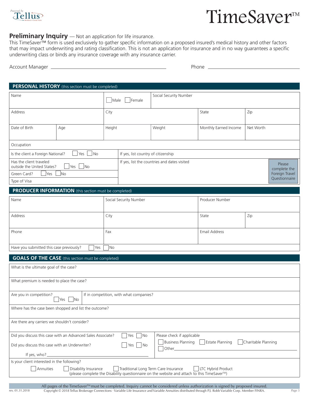

rev. 01.31.2018

### TimeSaver™

#### **Preliminary Inquiry** — Not an application for life insurance.

This TimeSaver™ form is used exclusively to gather specific information on a proposed insured's medical history and other factors that may impact underwriting and rating classification. This is not an application for insurance and in no way guarantees a specific underwriting class or binds any insurance coverage with any insurance carrier.

| Account<br>. Manager | Phone<br>_____ |
|----------------------|----------------|
|                      |                |

| PERSONAL HISTORY (this section must be completed)                             |                                                           |        |                                                        |                 |                       |                                 |
|-------------------------------------------------------------------------------|-----------------------------------------------------------|--------|--------------------------------------------------------|-----------------|-----------------------|---------------------------------|
| Name<br>Male                                                                  |                                                           | Female | Social Security Number                                 |                 |                       |                                 |
| Address                                                                       |                                                           | City   |                                                        |                 | Zip<br>State          |                                 |
| Date of Birth                                                                 | Age                                                       | Height |                                                        | Weight          | Monthly Earned Income | Net Worth                       |
| Occupation                                                                    |                                                           |        |                                                        |                 |                       |                                 |
| Is the client a Foreign National?                                             | $\blacksquare$ No<br>Yes                                  |        | If yes, list country of citizenship                    |                 |                       |                                 |
| Has the client traveled<br>$\Box$ Yes $\Box$ No<br>outside the United States? |                                                           |        | If yes, list the countries and dates visited<br>Please |                 |                       | complete the                    |
| Green Card?<br><b>Yes</b><br>Type of Visa                                     | <b>No</b>                                                 |        |                                                        |                 |                       | Foreign Travel<br>Questionnaire |
|                                                                               |                                                           |        |                                                        |                 |                       |                                 |
| <b>PRODUCER INFORMATION</b> (this section must be completed)<br>Name          |                                                           |        | Social Security Number                                 | Producer Number |                       |                                 |
|                                                                               |                                                           |        |                                                        |                 |                       |                                 |
|                                                                               |                                                           |        |                                                        |                 |                       |                                 |
| Address                                                                       |                                                           | City   |                                                        |                 | State                 | Zip                             |
| Phone                                                                         |                                                           | Fax    |                                                        |                 | Email Address         |                                 |
| Have you submitted this case previously?                                      | Yes                                                       | No     |                                                        |                 |                       |                                 |
|                                                                               | <b>GOALS OF THE CASE</b> (this section must be completed) |        |                                                        |                 |                       |                                 |
| What is the ultimate goal of the case?                                        |                                                           |        |                                                        |                 |                       |                                 |
| What premium is needed to place the case?                                     |                                                           |        |                                                        |                 |                       |                                 |

| Where has the case been shopped and list the outcome?                                                                                                                                            |                      |                                              |                     |
|--------------------------------------------------------------------------------------------------------------------------------------------------------------------------------------------------|----------------------|----------------------------------------------|---------------------|
| Are there any carriers we shouldn't consider?                                                                                                                                                    |                      |                                              |                     |
| Did you discuss this case with an Advanced Sales Associate?                                                                                                                                      | Yes  <br>  INo       | Please check if applicable                   |                     |
| Did you discuss this case with an Underwriter?                                                                                                                                                   | $Yes \mid \text{No}$ | Business Planning   Estate Planning<br>Other | Charitable Planning |
| If yes, who? $\frac{1}{2}$                                                                                                                                                                       |                      |                                              |                     |
| Is your client interested in the following?                                                                                                                                                      |                      |                                              |                     |
| Annuities<br>  LTC Hybrid Product<br>Disability Insurance<br>Traditional Long Term Care Insurance<br>(please complete the Disability questionnaire on the website and attach to this TimeSaver™) |                      |                                              |                     |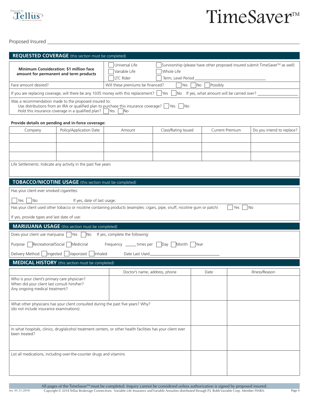

Proposed Insured \_\_

rev. 01.31.2018

| <b>REQUESTED COVERAGE</b> (this section must be completed)                                                                   |                                                                                                            |                                                                                                                                                                 |                     |                                           |     |                           |  |
|------------------------------------------------------------------------------------------------------------------------------|------------------------------------------------------------------------------------------------------------|-----------------------------------------------------------------------------------------------------------------------------------------------------------------|---------------------|-------------------------------------------|-----|---------------------------|--|
| <b>Minimum Consideration: \$1 million face</b><br>amount for permanent and term products                                     |                                                                                                            | Survivorship (please have other proposed insured submit TimeSaver™ as well)<br>Universal Life<br>Variable Life<br>Whole Life<br>LTC Rider<br>Term, Level Period |                     |                                           |     |                           |  |
| Face amount desired?                                                                                                         |                                                                                                            | Possibly<br>Will these premiums be financed?<br>Yes<br> No                                                                                                      |                     |                                           |     |                           |  |
|                                                                                                                              |                                                                                                            | If you are replacing coverage, will there be any 1035 money with this replacement?                                                                              | Yes<br><b>No</b>    | If yes, what amount will be carried over? |     |                           |  |
|                                                                                                                              | Was a recommendation made to the proposed insured to:<br>Hold this insurance coverage in a qualified plan? | Use distributions from an IRA or qualified plan to purchase this insurance coverage? $\Box$ Yes $\Box$<br>- INo<br><b>No</b><br>Yes                             |                     |                                           |     |                           |  |
|                                                                                                                              | Provide details on pending and in-force coverage:                                                          |                                                                                                                                                                 |                     |                                           |     |                           |  |
| Company                                                                                                                      | Policy/Application Date                                                                                    | Amount                                                                                                                                                          | Class/Rating Issued | Current Premium                           |     | Do you intend to replace? |  |
|                                                                                                                              |                                                                                                            |                                                                                                                                                                 |                     |                                           |     |                           |  |
|                                                                                                                              |                                                                                                            |                                                                                                                                                                 |                     |                                           |     |                           |  |
|                                                                                                                              |                                                                                                            |                                                                                                                                                                 |                     |                                           |     |                           |  |
|                                                                                                                              | Life Settlements: Indicate any activity in the past five years                                             |                                                                                                                                                                 |                     |                                           |     |                           |  |
|                                                                                                                              | TOBACCO/NICOTINE USAGE (this section must be completed)                                                    |                                                                                                                                                                 |                     |                                           |     |                           |  |
| Has your client ever smoked cigarettes:                                                                                      |                                                                                                            |                                                                                                                                                                 |                     |                                           |     |                           |  |
| Yes<br>  No                                                                                                                  | If yes, date of last usage:                                                                                |                                                                                                                                                                 |                     |                                           |     |                           |  |
|                                                                                                                              |                                                                                                            | Has your client used other tobacco or nicotine containing products (examples: cigars, pipe, snuff, nicotine gum or patch)                                       |                     |                                           | Yes | <b>No</b>                 |  |
| If yes, provide types and last date of use:                                                                                  |                                                                                                            |                                                                                                                                                                 |                     |                                           |     |                           |  |
|                                                                                                                              | <b>MARIJUANA USAGE</b> (this section must be completed)                                                    |                                                                                                                                                                 |                     |                                           |     |                           |  |
| Does your client use marijuana                                                                                               | Yes<br>N <sub>o</sub>                                                                                      | If yes, complete the following:                                                                                                                                 |                     |                                           |     |                           |  |
| Recreational/Social<br>Purpose                                                                                               | Medicinal                                                                                                  | Frequency ______times per                                                                                                                                       | Month<br>Day        | <b>Year</b>                               |     |                           |  |
| Delivery Method   Ingested<br>Vaporized<br>Inhaled<br>Date Last Used                                                         |                                                                                                            |                                                                                                                                                                 |                     |                                           |     |                           |  |
| <b>MEDICAL HISTORY</b> (this section must be completed)                                                                      |                                                                                                            |                                                                                                                                                                 |                     |                                           |     |                           |  |
|                                                                                                                              |                                                                                                            | Doctor's name, address, phone                                                                                                                                   |                     | Date                                      |     | Illness/Reason            |  |
| Who is your client's primary care physician?<br>When did your client last consult him/her?<br>Any ongoing medical treatment? |                                                                                                            |                                                                                                                                                                 |                     |                                           |     |                           |  |
| What other physicians has your client consulted during the past five years? Why?<br>(do not include insurance examinations)  |                                                                                                            |                                                                                                                                                                 |                     |                                           |     |                           |  |
| In what hospitals, clinics, drug/alcohol treatment centers, or other health facilities has your client ever<br>been treated? |                                                                                                            |                                                                                                                                                                 |                     |                                           |     |                           |  |
| List all medications, including over-the-counter drugs and vitamins                                                          |                                                                                                            |                                                                                                                                                                 |                     |                                           |     |                           |  |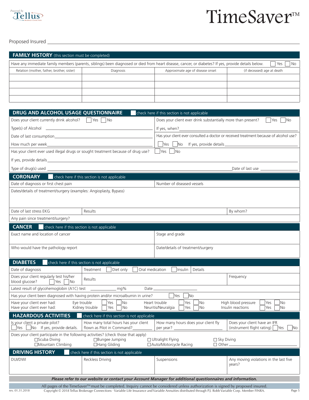

Proposed Insured

| <b>FAMILY HISTORY</b> (this section must be completed)                                                                                                             |           |                                  |                            |
|--------------------------------------------------------------------------------------------------------------------------------------------------------------------|-----------|----------------------------------|----------------------------|
| Have any immediate family members (parents, siblings) been diagnosed or died from heart disease, cancer, or diabetes? If yes, provide details below.<br>Yes<br>No. |           |                                  |                            |
| Relation (mother, father, brother, sister)                                                                                                                         | Diagnosis | Approximate age of disease onset | (if deceased) age at death |
|                                                                                                                                                                    |           |                                  |                            |
|                                                                                                                                                                    |           |                                  |                            |
|                                                                                                                                                                    |           |                                  |                            |
|                                                                                                                                                                    |           |                                  |                            |

| <b>DRUG AND ALCOHOL USAGE QUESTIONNAIRE</b>                                                                                                                     | check here if this section is not applicable                                                                                                                                                                                                  |  |  |
|-----------------------------------------------------------------------------------------------------------------------------------------------------------------|-----------------------------------------------------------------------------------------------------------------------------------------------------------------------------------------------------------------------------------------------|--|--|
| Does your client currently drink alcohol?   Yes   No                                                                                                            | Does your client ever drink substantially more than present?<br><b>Yes</b><br>$\overline{\mathsf{No}}$                                                                                                                                        |  |  |
| $Type(s)$ of Alcohol $\qquad \qquad$                                                                                                                            |                                                                                                                                                                                                                                               |  |  |
|                                                                                                                                                                 | Has your client ever consulted a doctor or received treatment because of alcohol use?                                                                                                                                                         |  |  |
|                                                                                                                                                                 | Ves No If yes, provide details                                                                                                                                                                                                                |  |  |
| Has your client ever used illegal drugs or sought treatment because of drug use?                                                                                | Yes<br> No                                                                                                                                                                                                                                    |  |  |
|                                                                                                                                                                 |                                                                                                                                                                                                                                               |  |  |
| <u> 1989 - Johann Stein, mars ar breithinn ar chuid ann an t-</u><br>Type of drug(s) used $\_\_$                                                                | Date of last use                                                                                                                                                                                                                              |  |  |
| <b>CORONARY</b><br>check here if this section is not applicable                                                                                                 |                                                                                                                                                                                                                                               |  |  |
| Date of diagnosis or first chest pain                                                                                                                           | Number of diseased vessels                                                                                                                                                                                                                    |  |  |
| Dates/details of treatment/surgery (examples: Angioplasty, Bypass)                                                                                              |                                                                                                                                                                                                                                               |  |  |
|                                                                                                                                                                 |                                                                                                                                                                                                                                               |  |  |
|                                                                                                                                                                 |                                                                                                                                                                                                                                               |  |  |
| Date of last stress EKG<br>Results                                                                                                                              | By whom?                                                                                                                                                                                                                                      |  |  |
| Any pain since treatment/surgery?                                                                                                                               |                                                                                                                                                                                                                                               |  |  |
| <b>CANCER</b><br>check here if this section is not applicable                                                                                                   |                                                                                                                                                                                                                                               |  |  |
| Exact name and location of cancer                                                                                                                               | Stage and grade                                                                                                                                                                                                                               |  |  |
| Who would have the pathology report                                                                                                                             | Date/details of treatment/surgery                                                                                                                                                                                                             |  |  |
|                                                                                                                                                                 |                                                                                                                                                                                                                                               |  |  |
| <b>DIABETES</b><br>check here if this section is not applicable                                                                                                 |                                                                                                                                                                                                                                               |  |  |
| Date of diagnosis<br>Treatment<br>Diet only                                                                                                                     | Oral medication<br>Insulin<br>Details                                                                                                                                                                                                         |  |  |
| Does your client regularly test his/her<br>Results<br>blood glucose?<br>Yes<br>No.                                                                              | Frequency                                                                                                                                                                                                                                     |  |  |
| Latest result of glycohemoglobin (A1C) test _________________ mg%                                                                                               | Date ______                                                                                                                                                                                                                                   |  |  |
| Has your client been diagnosed with having protein and/or microalbumin in urine?                                                                                | Yes<br>$\overline{\textsf{No}}$                                                                                                                                                                                                               |  |  |
| Have your client ever had:<br>Eye trouble<br>Yes<br>$\overline{\mathsf{No}}$<br>Have your client ever had:<br>Kidney trouble<br>Yes<br>$\overline{\mathsf{No}}$ | Heart trouble<br>Yes<br>No<br>High blood pressure<br>Yes<br>No<br>Neuritis/Neuralgia<br>Insulin reactions<br>Yes<br>No<br>Yes<br>No                                                                                                           |  |  |
| <b>HAZARDOUS ACTIVITIES</b><br>check here if this section is not applicable                                                                                     |                                                                                                                                                                                                                                               |  |  |
| Is your client a private pilot?<br>How many total hours has your client<br>$\Box$ Yes $\Box$ No If yes, provide details.<br>flown as Pilot in Command?          | How many hours does your client fly<br>Does your client have an IFR<br>$(instrument flight rating)$ Yes<br>per year?<br>No                                                                                                                    |  |  |
| Does your client participate in the following activities? (check those that apply)                                                                              |                                                                                                                                                                                                                                               |  |  |
| $\square$ Scuba Diving<br>$\square$ Bungee Jumping<br>□Mountain Climbing<br>$\Box$ Hang Gliding                                                                 | $\Box$ Ultralight Flying<br>$\Box$ Sky Diving<br>□ Auto/Motorcycle Racing<br>$\Box$ Other.                                                                                                                                                    |  |  |
| <b>DRIVING HISTORY</b><br>check here if this section is not applicable                                                                                          |                                                                                                                                                                                                                                               |  |  |
| <b>DUI/DWI</b><br>Reckless Driving                                                                                                                              | Suspensions<br>Any moving violations in the last five                                                                                                                                                                                         |  |  |
|                                                                                                                                                                 | vears?                                                                                                                                                                                                                                        |  |  |
|                                                                                                                                                                 |                                                                                                                                                                                                                                               |  |  |
|                                                                                                                                                                 | Please refer to our website or contact your Account Manager for additional questionnaires and information.<br>All pages of the TimeSaver™ must be completed. Inquiry cannot be considered unless authorization is signed by proposed insured. |  |  |

Copyright © 2018 Tellus Brokerage Connections · Variable Life Insurance and Variable Annuities distributed through P.J. Robb Variable Corp. Member FINRA.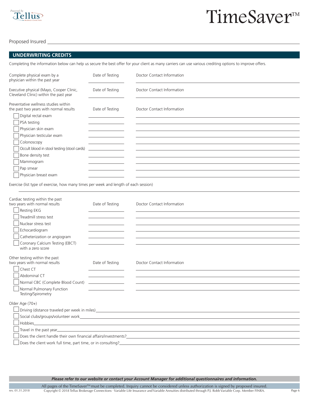

Proposed Insured

rev. 01.31.2018

#### **UNDERWRITING CREDITS**

Completing the information below can help us secure the best offer for your client as many carriers can use various crediting options to improve offers.

| Complete physical exam by a<br>physician within the past year                      | Date of Testing | Doctor Contact Information |
|------------------------------------------------------------------------------------|-----------------|----------------------------|
| Executive physical (Mayo, Cooper Clinic,<br>Cleveland Clinic) within the past year | Date of Testing | Doctor Contact Information |
| Preventative wellness studies within<br>the past two years with normal results     | Date of Testing | Doctor Contact Information |
| Digital rectal exam<br>PSA testing                                                 |                 |                            |
| Physician skin exam                                                                |                 |                            |
| Physician testicular exam                                                          |                 |                            |
| Colonoscopy                                                                        |                 |                            |
| Occult blood in stool testing (stool cards)                                        |                 |                            |
| Bone density test                                                                  |                 |                            |
| Mammogram                                                                          |                 |                            |
| Pap smear                                                                          |                 |                            |
| Physician breast exam                                                              |                 |                            |

Exercise (list type of exercise, how many times per week and length of each session)

| Cardiac testing within the past<br>two years with normal results<br>Resting EKG | Date of Testing                           | Doctor Contact Information                                                                                                                                                                                                     |
|---------------------------------------------------------------------------------|-------------------------------------------|--------------------------------------------------------------------------------------------------------------------------------------------------------------------------------------------------------------------------------|
| Treadmill stress test                                                           |                                           |                                                                                                                                                                                                                                |
| Nuclear stress test                                                             |                                           |                                                                                                                                                                                                                                |
| Echocardiogram                                                                  |                                           |                                                                                                                                                                                                                                |
| Catheterization or angiogram                                                    |                                           |                                                                                                                                                                                                                                |
| Coronary Calcium Testing (EBCT)<br>with a zero score                            |                                           |                                                                                                                                                                                                                                |
| Other testing within the past                                                   |                                           |                                                                                                                                                                                                                                |
| two years with normal results                                                   | Date of Testing                           | Doctor Contact Information                                                                                                                                                                                                     |
| Chest CT                                                                        |                                           |                                                                                                                                                                                                                                |
| Abdominal CT                                                                    | the control of the control of the control |                                                                                                                                                                                                                                |
| Normal CBC (Complete Blood Count)                                               | <u> 1990 - Jan Barbara Barbara, p</u>     |                                                                                                                                                                                                                                |
| Normal Pulmonary Function<br>Testing/Spirometry                                 |                                           |                                                                                                                                                                                                                                |
| Older Age (70+)                                                                 |                                           |                                                                                                                                                                                                                                |
|                                                                                 |                                           |                                                                                                                                                                                                                                |
|                                                                                 |                                           | Social clubs/groups/volunteer work. The context of the context of the context of the context of the context of                                                                                                                 |
| Hobbies                                                                         |                                           | <u> 1989 - Johann Stein, mars an de Britannich (b. 1989)</u>                                                                                                                                                                   |
|                                                                                 |                                           | Travel in the past year. The contract of the contract of the contract of the contract of the contract of the contract of the contract of the contract of the contract of the contract of the contract of the contract of the c |
|                                                                                 |                                           |                                                                                                                                                                                                                                |
| Does the client work full time, part time, or in consulting?                    |                                           |                                                                                                                                                                                                                                |

*Please refer to our website or contact your Account Manager for additional questionnaires and information.*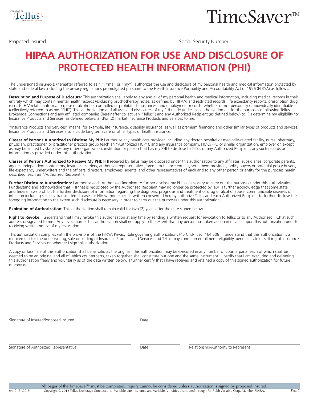

Proposed Insured Social Security Number

### **HIPAA AUTHORIZATION FOR USE AND DISCLOSURE OF PROTECTED HEALTH INFORMATION (PHI)**

The undersigned insured(s) (hereafter referred to as "I", "me" or "my"), authorizes the use and disclosure of my personal health and medical information protected by state and federal law including the privacy regulations promulgated pursuant to the Health Insurance Portability and Accountability Act of 1996 (HIPAA) as follows:

**Description and Purpose of Disclosure:** This authorization shall apply to any and all of my personal health and medical information, including medical records in their entirety which may contain mental health records (excluding psychotherapy notes, as defined by HIPAA) and restricted records, life expectancy reports, prescription drug records, HIV-related information, use of alcohol or controlled or prohibited substances, and employment records, whether or not personally or individually identifiable (collectively referred to as my "PHI"). This authorization and all uses and disclosures of my PHI made under this authorization are for the purposes of allowing Tellus Brokerage Connections and any affiliated companies (hereinafter collectively "Tellus") and any Authorized Recipient (as defined below) to: (1) determine my eligibility for Insurance Products and Services, as defined below; and/or (2) market Insurance Products and Services to me.

"Insurance Products and Services" means, for example, life insurance, disability insurance, as well as premium financing and other similar types of products and services. Insurance Products and Services also include long term care or other types of health insurance.

**Classes of Persons Authorized to Disclose My PHI:** I authorize any health care provider, including any doctor, hospital or medically-related facility, nurse, pharmacy, physician, practitioner, or practitioner practice group (each an "Authorized HCP"), and any insurance company, HMO/PPO or similar organization, employer or, except as may be limited by state law, any other organization, institution or person that has my PHI to disclose to Tellus or any Authorized Recipient, any such records or information as provided under this authorization.

**Classes of Persons Authorized to Receive My PHI:** PHI received by Tellus may be disclosed under this authorization to any affiliates, subsidiaries, corporate parents, agents, independent contractors, insurance carriers, authorized representatives, premium finance entities, settlement providers, policy buyers or potential policy buyers, life expectancy underwriters and the officers, directors, employees, agents, and other representatives of each and to any other person or entity for the purposes herein described (each an "Authorized Recipient").

Further Disclosure Authorization: I authorize each Authorized Recipient to further disclose my PHI as necessary to carry out the purposes under this authorization. I understand and acknowledge that PHI that is redisclosed by the Authorized Recipient may no longer be protected by law. I further acknowledge that some state and federal laws prohibit the further disclosure of information regarding the diagnosis, prognosis and treatment of drug or alcohol abuse, communicable diseases or infection including sexually-transmitted diseases or HIV without specific written consent. I hereby authorize Tellus and each Authorized Recipient to further disclose the foregoing information to the extent such disclosure is necessary in order to carry out the purposes under this authorization.

**Expiration of Authorization:** This authorization shall remain valid for two (2) years after the date signed below.

Right to Revoke: I understand that I may revoke this authorization at any time by sending a written request for revocation to Tellus or to any Authorized HCP at such address designated to me. Any revocation of this authorization shall not apply to the extent that any person has taken action in reliance upon this authorization prior to receiving written notice of my revocation.

This authorization complies with the provisions of the HIPAA Privacy Rule governing authorizations (45 C.F.R. Sec. 164.508). I understand that this authorization is a requirement for the underwriting, sale or settling of Insurance Products and Services and Tellus may condition enrollment, eligibility, benefits, sale or settling of Insurance Products and Services on whether I sign this authorization.

A copy or facsimile of this authorization shall be as valid as the original. This authorization may be executed in any number of counterparts, each of which shall be deemed to be an original and all of which counterparts, taken together, shall constitute but one and the same instrument. I certify that I am executing and delivering this authorization freely and voluntarily as of the date written below. I further certify that I have received and retained a copy of this signed authorization for future reference.

Signature of Insured/Proposed Insured

Date

Signature of Authorized Representative

rev. 01.31.2018

Date Relationship/Authority to Represent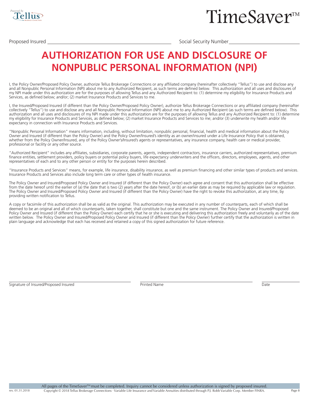

Proposed Insured Social Security Number

### **AUTHORIZATION FOR USE AND DISCLOSURE OF NONPUBLIC PERSONAL INFORMATION (NPI)**

I, the Policy Owner/Proposed Policy Owner, authorize Tellus Brokerage Connections or any affiliated company (hereinafter collectively "Tellus") to use and disclose any and all Nonpublic Personal Information (NPI) about me to any Authorized Recipient, as such terms are defined below. This authorization and all uses and disclosures of my NPI made under this authorization are for the purposes of allowing Tellus and any Authorized Recipient to: (1) determine my eligibility for Insurance Products and Services, as defined below; and/or; (2) market Insurance Products and Services to me.

I, the Insured/Proposed Insured (if different than the Policy Owner/Proposed Policy Owner), authorize Tellus Brokerage Connections or any affiliated company (hereinafter collectively "Tellus") to use and disclose any and all Nonpublic Personal Information (NPI) about me to any Authorized Recipient (as such terms are defined below). This authorization and all uses and disclosures of my NPI made under this authorization are for the purposes of allowing Tellus and any Authorized Recipient to: (1) determine my eligibility for Insurance Products and Services, as defined below; (2) market Insurance Products and Services to me; and/or (3) underwrite my health and/or life expectancy in connection with Insurance Products and Services.

"Nonpublic Personal Information" means information, including, without limitation, nonpublic personal, financial, health and medical information about the Policy Owner and Insured (if different than the Policy Owner) and the Policy Owner/Insured's identity as an owner/insured under a Life Insurance Policy that is obtained, whether from the Policy Owner/Insured, any of the Policy Owner's/Insured's agents or representatives, any insurance company, health care or medical provider, professional or facility or any other source.

"Authorized Recipient" includes any affiliates, subsidiaries, corporate parents, agents, independent contractors, insurance carriers, authorized representatives, premium finance entities, settlement providers, policy buyers or potential policy buyers, life expectancy underwriters and the officers, directors, employees, agents, and other representatives of each and to any other person or entity for the purposes herein described.

"Insurance Products and Services" means, for example, life insurance, disability insurance, as well as premium financing and other similar types of products and services. Insurance Products and Services also include long term care or other types of health insurance.

The Policy Owner and Insured/Proposed Policy Owner and Insured (if different than the Policy Owner) each agree and consent that this authorization shall be effective from the date hereof until the earlier of (a) the date that is two (2) years after the date hereof, or (b) an earlier date as may be required by applicable law or regulation. The Policy Owner and Insured/Proposed Policy Owner and Insured (if different than the Policy Owner) have the right to revoke this authorization, at any time, by providing written notification to Tellus.

A copy or facsimile of this authorization shall be as valid as the original. This authorization may be executed in any number of counterparts, each of which shall be deemed to be an original and all of which counterparts, taken together, shall constitute but one and the same instrument. The Policy Owner and Insured/Proposed Policy Owner and Insured (if different than the Policy Owner) each certify that he or she is executing and delivering this authorization freely and voluntarily as of the date written below. The Policy Owner and Insured/Proposed Policy Owner and Insured (if different than the Policy Owner) further certify that the authorization is written in plain language and acknowledge that each has received and retained a copy of this signed authorization for future reference.

```
Signature of Insured/Proposed Insured Printed Name Printed Name Printed Name Date
```
rev. 01.31.2018